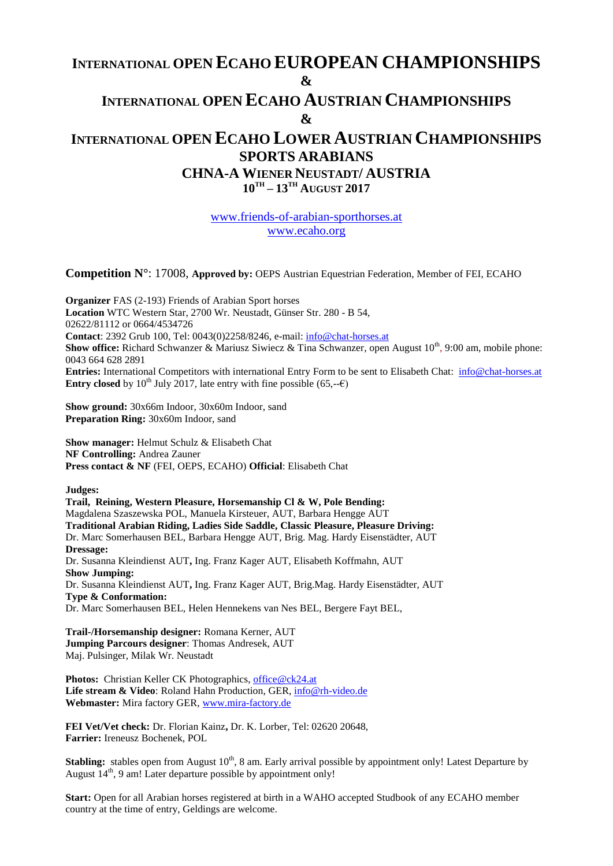# **INTERNATIONAL OPEN ECAHO EUROPEAN CHAMPIONSHIPS & INTERNATIONAL OPEN ECAHO AUSTRIAN CHAMPIONSHIPS & INTERNATIONAL OPEN ECAHO LOWER AUSTRIAN CHAMPIONSHIPS SPORTS ARABIANS CHNA-A WIENER NEUSTADT/ AUSTRIA 10TH – 13TH AUGUST 2017**

[www.friends-of-arabian-sporthorses.at](http://www.friends-of-arabian-sporthorses.at/) [www.ecaho.org](http://www.ecaho.org/)

**Competition N°**: 17008, **Approved by:** OEPS Austrian Equestrian Federation, Member of FEI, ECAHO

**Organizer** FAS (2-193) Friends of Arabian Sport horses **Location** WTC Western Star, 2700 Wr. Neustadt, Günser Str. 280 - B 54, 02622/81112 or 0664/4534726 **Contact**: 2392 Grub 100, Tel: 0043(0)2258/8246, e-mail: [info@chat-horses.at](mailto:info@chat-horses.at) **Show office:** Richard Schwanzer & Mariusz Siwiecz & Tina Schwanzer, open August 10<sup>th</sup>, 9:00 am, mobile phone: 0043 664 628 2891 **Entries:** International Competitors with international Entry Form to be sent to Elisabeth Chat: [info@chat-horses.at](mailto:info@chat-horses.at) **Entry closed** by 10<sup>th</sup> July 2017, late entry with fine possible (65,-- $\epsilon$ )

**Show ground:** 30x66m Indoor, 30x60m Indoor, sand **Preparation Ring:** 30x60m Indoor, sand

**Show manager:** Helmut Schulz & Elisabeth Chat **NF Controlling:** Andrea Zauner **Press contact & NF** (FEI, OEPS, ECAHO) **Official**: Elisabeth Chat

**Judges:**

**Trail, Reining, Western Pleasure, Horsemanship Cl & W, Pole Bending:**  Magdalena Szaszewska POL, Manuela Kirsteuer, AUT, Barbara Hengge AUT **Traditional Arabian Riding, Ladies Side Saddle, Classic Pleasure, Pleasure Driving:** Dr. Marc Somerhausen BEL, Barbara Hengge AUT, Brig. Mag. Hardy Eisenstädter, AUT **Dressage:**  Dr. Susanna Kleindienst AUT**,** Ing. Franz Kager AUT, Elisabeth Koffmahn, AUT **Show Jumping:** Dr. Susanna Kleindienst AUT**,** Ing. Franz Kager AUT, Brig.Mag. Hardy Eisenstädter, AUT **Type & Conformation:** Dr. Marc Somerhausen BEL, Helen Hennekens van Nes BEL, Bergere Fayt BEL,

**Trail-/Horsemanship designer:** Romana Kerner, AUT **Jumping Parcours designer**: Thomas Andresek, AUT Maj. Pulsinger, Milak Wr. Neustadt

**Photos:** Christian Keller CK Photographics, [office@ck24.at](mailto:office@ck24.at) Life stream & Video: Roland Hahn Production, GER, [info@rh-video.de](mailto:info@rh-video.de) **Webmaster:** Mira factory GER[, www.mira-factory.de](http://www.mira-factory.de/)

**FEI Vet/Vet check:** Dr. Florian Kainz**,** Dr. K. Lorber, Tel: 02620 20648, **Farrier:** Ireneusz Bochenek, POL

**Stabling:** stables open from August 10<sup>th</sup>, 8 am. Early arrival possible by appointment only! Latest Departure by August  $14<sup>th</sup>$ , 9 am! Later departure possible by appointment only!

**Start:** Open for all Arabian horses registered at birth in a WAHO accepted Studbook of any ECAHO member country at the time of entry, Geldings are welcome.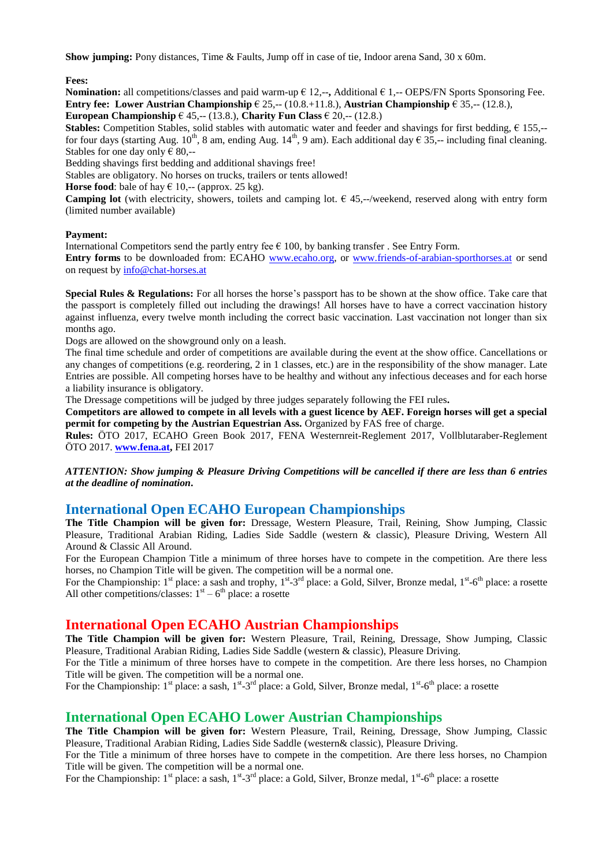**Show jumping:** Pony distances, Time & Faults, Jump off in case of tie, Indoor arena Sand, 30 x 60m.

**Fees:**

**Nomination:** all competitions/classes and paid warm-up  $\epsilon$  12,--, Additional  $\epsilon$  1,-- OEPS/FN Sports Sponsoring Fee. **Entry fee:** Lower Austrian Championship  $\in$  25,-- (10.8.+11.8.), Austrian Championship  $\in$  35,-- (12.8.), **European Championship**  $\in$  45,-- (13.8.), **Charity Fun Class**  $\in$  20,-- (12.8.)

**Stables:** Competition Stables, solid stables with automatic water and feeder and shavings for first bedding,  $\epsilon$  155,-for four days (starting Aug. 10<sup>th</sup>, 8 am, ending Aug. 14<sup>th</sup>, 9 am). Each additional day  $\epsilon$  35,-- including final cleaning. Stables for one day only  $\epsilon$  80,--

Bedding shavings first bedding and additional shavings free!

Stables are obligatory. No horses on trucks, trailers or tents allowed!

**Horse food**: bale of hay  $\in$  10,-- (approx. 25 kg).

**Camping lot** (with electricity, showers, toilets and camping lot. € 45,--/weekend, reserved along with entry form (limited number available)

#### **Payment:**

International Competitors send the partly entry fee  $\epsilon$  100, by banking transfer. See Entry Form.

**Entry forms** to be downloaded from: ECAHO [www.ecaho.org,](http://www.ecaho.org/) or [www.friends-of-arabian-sporthorses.at](http://www.friends-of-arabian-sporthorses.at/) or send on request by [info@chat-horses.at](mailto:info@chat-horses.at)

**Special Rules & Regulations:** For all horses the horse's passport has to be shown at the show office. Take care that the passport is completely filled out including the drawings! All horses have to have a correct vaccination history against influenza, every twelve month including the correct basic vaccination. Last vaccination not longer than six months ago.

Dogs are allowed on the showground only on a leash.

The final time schedule and order of competitions are available during the event at the show office. Cancellations or any changes of competitions (e.g. reordering, 2 in 1 classes, etc.) are in the responsibility of the show manager. Late Entries are possible. All competing horses have to be healthy and without any infectious deceases and for each horse a liability insurance is obligatory.

The Dressage competitions will be judged by three judges separately following the FEI rules**.**

**Competitors are allowed to compete in all levels with a guest licence by AEF. Foreign horses will get a special permit for competing by the Austrian Equestrian Ass.** Organized by FAS free of charge.

**Rules:** ÖTO 2017, ECAHO Green Book 2017, FENA Westernreit-Reglement 2017, Vollblutaraber-Reglement ÖTO 2017. **[www.fena.at,](http://www.fena.at/)** FEI 2017

*ATTENTION: Show jumping & Pleasure Driving Competitions will be cancelled if there are less than 6 entries at the deadline of nomination***.**

### **International Open ECAHO European Championships**

**The Title Champion will be given for:** Dressage, Western Pleasure, Trail, Reining, Show Jumping, Classic Pleasure, Traditional Arabian Riding, Ladies Side Saddle (western & classic), Pleasure Driving, Western All Around & Classic All Around.

For the European Champion Title a minimum of three horses have to compete in the competition. Are there less horses, no Champion Title will be given. The competition will be a normal one.

For the Championship:  $1^{st}$  place: a sash and trophy,  $1^{st}$ -3<sup>rd</sup> place: a Gold, Silver, Bronze medal,  $1^{st}$ -6<sup>th</sup> place: a rosette All other competitions/classes:  $1<sup>st</sup> - 6<sup>th</sup>$  place: a rosette

### **International Open ECAHO Austrian Championships**

**The Title Champion will be given for:** Western Pleasure, Trail, Reining, Dressage, Show Jumping, Classic Pleasure, Traditional Arabian Riding, Ladies Side Saddle (western & classic), Pleasure Driving.

For the Title a minimum of three horses have to compete in the competition. Are there less horses, no Champion Title will be given. The competition will be a normal one.

For the Championship:  $1^{st}$  place: a sash,  $1^{st}$ -3<sup>rd</sup> place: a Gold, Silver, Bronze medal,  $1^{st}$ -6<sup>th</sup> place: a rosette

# **International Open ECAHO Lower Austrian Championships**

**The Title Champion will be given for:** Western Pleasure, Trail, Reining, Dressage, Show Jumping, Classic Pleasure, Traditional Arabian Riding, Ladies Side Saddle (western& classic), Pleasure Driving.

For the Title a minimum of three horses have to compete in the competition. Are there less horses, no Champion Title will be given. The competition will be a normal one.

For the Championship:  $1^{st}$  place: a sash,  $1^{st}$ -3<sup>rd</sup> place: a Gold, Silver, Bronze medal,  $1^{st}$ -6<sup>th</sup> place: a rosette